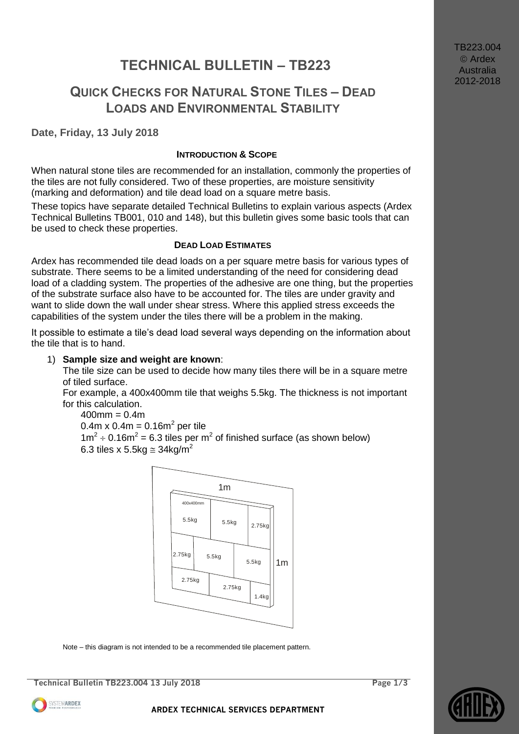# **TECHNICAL BULLETIN – TB223**

## **QUICK CHECKS FOR NATURAL STONE TILES – DEAD LOADS AND ENVIRONMENTAL STABILITY**

## **Date, Friday, 13 July 2018**

## **INTRODUCTION & SCOPE**

When natural stone tiles are recommended for an installation, commonly the properties of the tiles are not fully considered. Two of these properties, are moisture sensitivity (marking and deformation) and tile dead load on a square metre basis.

These topics have separate detailed Technical Bulletins to explain various aspects (Ardex Technical Bulletins TB001, 010 and 148), but this bulletin gives some basic tools that can be used to check these properties.

#### **DEAD LOAD ESTIMATES**

Ardex has recommended tile dead loads on a per square metre basis for various types of substrate. There seems to be a limited understanding of the need for considering dead load of a cladding system. The properties of the adhesive are one thing, but the properties of the substrate surface also have to be accounted for. The tiles are under gravity and want to slide down the wall under shear stress. Where this applied stress exceeds the capabilities of the system under the tiles there will be a problem in the making.

It possible to estimate a tile's dead load several ways depending on the information about the tile that is to hand.

#### 1) **Sample size and weight are known**:

The tile size can be used to decide how many tiles there will be in a square metre of tiled surface.

For example, a 400x400mm tile that weighs 5.5kg. The thickness is not important for this calculation.

 $400$ mm =  $0.4$ m 0.4m x 0.4m =  $0.16m^2$  per tile  $1m^2 \div 0.16m^2 = 6.3$  tiles per m<sup>2</sup> of finished surface (as shown below) 6.3 tiles x 5.5kg  $\approx$  34kg/m<sup>2</sup>



Note – this diagram is not intended to be a recommended tile placement pattern.

**Technical Bulletin TB223.004 13 July 2018 Page 1/3**



TB223.004 Ardex **Australia** 2012-2018

**YSTEMARDEX** 

 **ARDEX TECHNICAL SERVICES DEPARTMENT**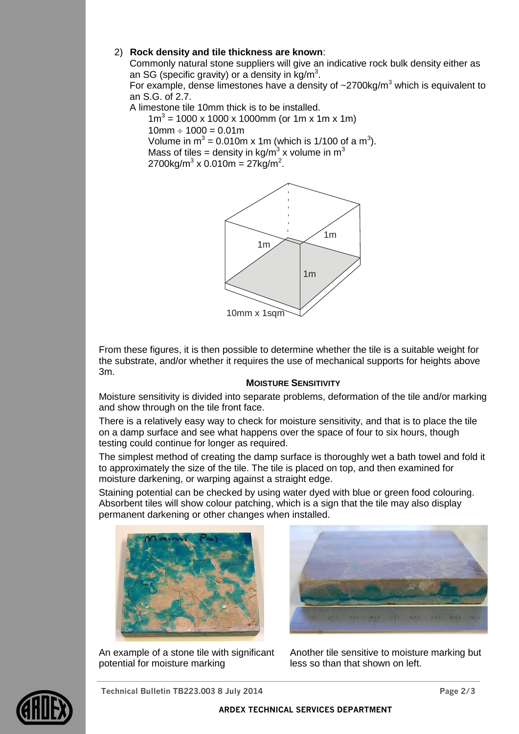## 2) **Rock density and tile thickness are known**:

Commonly natural stone suppliers will give an indicative rock bulk density either as an SG (specific gravity) or a density in kg/m<sup>3</sup>.

For example, dense limestones have a density of  $\sim$ 2700kg/m<sup>3</sup> which is equivalent to an S.G. of 2.7.

A limestone tile 10mm thick is to be installed.

 $1m^3$  = 1000 x 1000 x 1000mm (or 1m x 1m x 1m)  $10mm \div 1000 = 0.01m$ Volume in  $m^3$  = 0.010m x 1m (which is 1/100 of a m<sup>3</sup>). Mass of tiles = density in kg/m<sup>3</sup> x volume in m<sup>3</sup>

 $2700$ kg/m<sup>3</sup> x 0.010m = 27kg/m<sup>2</sup>.



From these figures, it is then possible to determine whether the tile is a suitable weight for the substrate, and/or whether it requires the use of mechanical supports for heights above 3m.

#### **MOISTURE SENSITIVITY**

Moisture sensitivity is divided into separate problems, deformation of the tile and/or marking and show through on the tile front face.

There is a relatively easy way to check for moisture sensitivity, and that is to place the tile on a damp surface and see what happens over the space of four to six hours, though testing could continue for longer as required.

The simplest method of creating the damp surface is thoroughly wet a bath towel and fold it to approximately the size of the tile. The tile is placed on top, and then examined for moisture darkening, or warping against a straight edge.

Staining potential can be checked by using water dyed with blue or green food colouring. Absorbent tiles will show colour patching, which is a sign that the tile may also display permanent darkening or other changes when installed.



An example of a stone tile with significant potential for moisture marking



Another tile sensitive to moisture marking but less so than that shown on left.



**Technical Bulletin TB223.003 8 July 2014 Page 2/3**